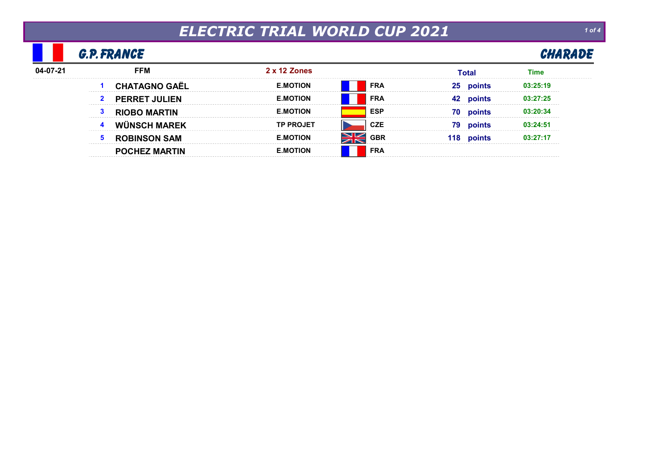# ELECTRIC TRIAL WORLD CUP 2021

### G.P. FRANCE

| FRANCE | CHARADE |
|--------|---------|
|        |         |

| <b>FFM</b>           | $2 \times 12$ Zones  |      | Total |          |
|----------------------|----------------------|------|-------|----------|
|                      | OTION<br>F MO        | FRA  | 25    | 13.25.19 |
| <b>PERRET JULIEN</b> | ΊΩΝ                  | FRA  |       |          |
| <b>MARTIN</b>        | ΓΙΟΝ                 | ESP  | 70    |          |
|                      |                      |      | 79    |          |
|                      | $\cdot$ JION<br>E.MI | 36 F | ា ដ   |          |
| <b>HEZ MARTIN:</b>   | ΓΙΟΝ                 | FRA  |       |          |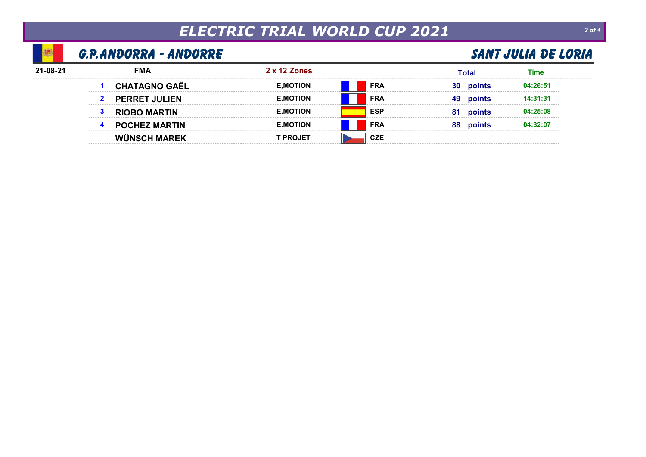## ELECTRIC TRIAL WORLD CUP 2021

### G.P. ANDORRA - ANDORRE SANT JULIA DE LORIA

S.

| 21-08-21 | FMA    | 2 x 12 Zones        |                 | Гоtа |  |
|----------|--------|---------------------|-----------------|------|--|
|          |        | [ION                | <b>FRA</b><br>. | IJι  |  |
|          |        | חרו<br>------------ | <b>FRA</b>      | 49   |  |
|          | 1ARTIN | ΓΙΩΝ<br>⊢м          | ESP             |      |  |
|          |        | ΓΙΟΝ<br>∟.M<br>.    | <b>FRA</b>      | oc   |  |
|          |        |                     |                 |      |  |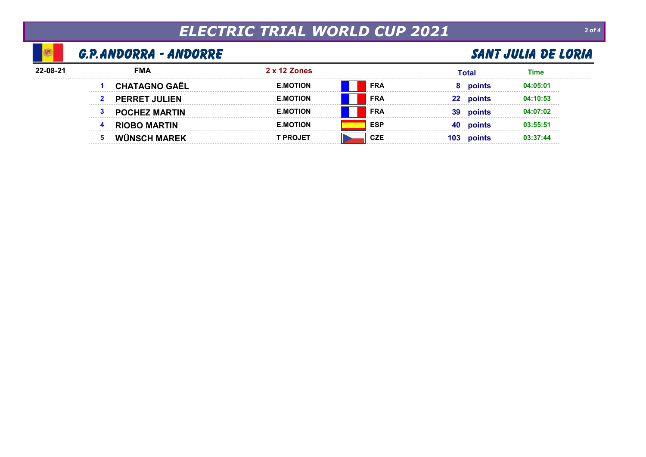## ELECTRIC TRIAL WORLD CUP 2021 30f4

### G.P. ANDORRA - ANDORRE SANT JULIA DE LORIA

| FMA | 2 x 12 Zones |            | `ota |  |
|-----|--------------|------------|------|--|
|     |              | <b>FRA</b> |      |  |
|     |              | FRA        |      |  |
|     |              | FRA        |      |  |
|     | TON          | ESF        | 4U   |  |
|     |              |            |      |  |